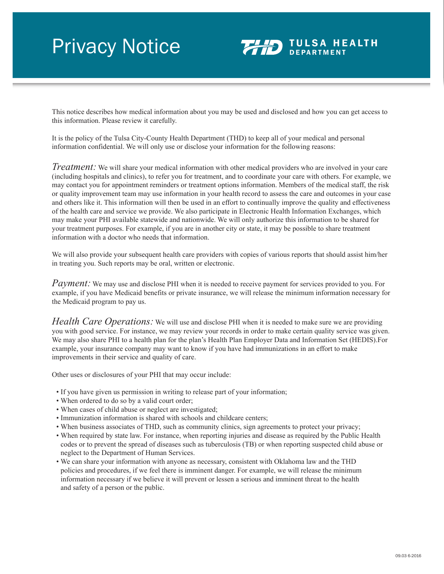## Privacy Notice



This notice describes how medical information about you may be used and disclosed and how you can get access to this information. Please review it carefully.

It is the policy of the Tulsa City-County Health Department (THD) to keep all of your medical and personal information confidential. We will only use or disclose your information for the following reasons:

*Treatment:* We will share your medical information with other medical providers who are involved in your care (including hospitals and clinics), to refer you for treatment, and to coordinate your care with others. For example, we may contact you for appointment reminders or treatment options information. Members of the medical staff, the risk or quality improvement team may use information in your health record to assess the care and outcomes in your case and others like it. This information will then be used in an effort to continually improve the quality and effectiveness of the health care and service we provide. We also participate in Electronic Health Information Exchanges, which may make your PHI available statewide and nationwide. We will only authorize this information to be shared for your treatment purposes. For example, if you are in another city or state, it may be possible to share treatment information with a doctor who needs that information.

We will also provide your subsequent health care providers with copies of various reports that should assist him/her in treating you. Such reports may be oral, written or electronic.

*Payment:* We may use and disclose PHI when it is needed to receive payment for services provided to you. For example, if you have Medicaid benefits or private insurance, we will release the minimum information necessary for the Medicaid program to pay us.

*Health Care Operations:* We will use and disclose PHI when it is needed to make sure we are providing you with good service. For instance, we may review your records in order to make certain quality service was given. We may also share PHI to a health plan for the plan's Health Plan Employer Data and Information Set (HEDIS).For example, your insurance company may want to know if you have had immunizations in an effort to make improvements in their service and quality of care.

Other uses or disclosures of your PHI that may occur include:

- If you have given us permission in writing to release part of your information;
- When ordered to do so by a valid court order;
- When cases of child abuse or neglect are investigated;
- Immunization information is shared with schools and childcare centers;
- When business associates of THD, such as community clinics, sign agreements to protect your privacy;
- When required by state law. For instance, when reporting injuries and disease as required by the Public Health codes or to prevent the spread of diseases such as tuberculosis (TB) or when reporting suspected child abuse or neglect to the Department of Human Services.
- We can share your information with anyone as necessary, consistent with Oklahoma law and the THD policies and procedures, if we feel there is imminent danger. For example, we will release the minimum information necessary if we believe it will prevent or lessen a serious and imminent threat to the health and safety of a person or the public.